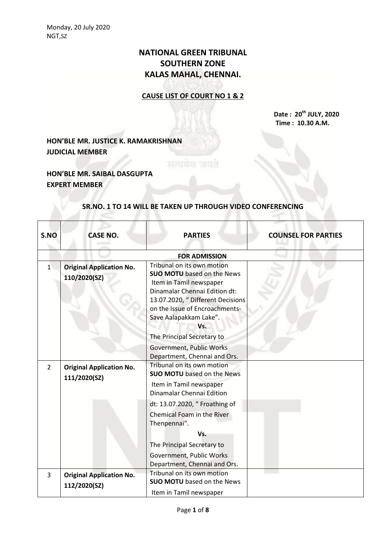# **NATIONAL GREEN TRIBUNAL SOUTHERN ZONE KALAS MAHAL, CHENNAI.**

## **CAUSE LIST OF COURT NO 1 & 2**

**Date : 20th JULY, 2020 Time : 10.30 A.M.**

# **HON'BLE MR. JUSTICE K. RAMAKRISHNAN JUDICIAL MEMBER**

## **HON'BLE MR. SAIBAL DASGUPTA EXPERT MEMBER**

#### **SR.NO. 1 TO 14 WILL BE TAKEN UP THROUGH VIDEO CONFERENCING**

| S.NO           | <b>CASE NO.</b>                                 | <b>PARTIES</b>                                                                                                                                                                                                                      | <b>COUNSEL FOR PARTIES</b> |
|----------------|-------------------------------------------------|-------------------------------------------------------------------------------------------------------------------------------------------------------------------------------------------------------------------------------------|----------------------------|
|                |                                                 | <b>FOR ADMISSION</b>                                                                                                                                                                                                                |                            |
| 1              | <b>Original Application No.</b><br>110/2020(SZ) | Tribunal on its own motion<br><b>SUO MOTU</b> based on the News<br>Item in Tamil newspaper<br>Dinamalar Chennai Edition dt:<br>13.07.2020, " Different Decisions<br>on the Issue of Encroachments-<br>Save Aalapakkam Lake".<br>Vs. |                            |
|                |                                                 | The Principal Secretary to<br>Government, Public Works                                                                                                                                                                              |                            |
| $\overline{2}$ | <b>Original Application No.</b><br>111/2020(SZ) | Department, Chennai and Ors.<br>Tribunal on its own motion<br><b>SUO MOTU</b> based on the News<br>Item in Tamil newspaper<br>Dinamalar Chennai Edition                                                                             |                            |
|                |                                                 | dt: 13.07.2020, " Froathing of<br>Chemical Foam in the River<br>Thenpennai".                                                                                                                                                        |                            |
|                |                                                 | Vs.<br>The Principal Secretary to                                                                                                                                                                                                   |                            |
|                |                                                 | Government, Public Works<br>Department, Chennai and Ors.                                                                                                                                                                            |                            |
| $\overline{3}$ | <b>Original Application No.</b><br>112/2020(SZ) | Tribunal on its own motion<br><b>SUO MOTU</b> based on the News<br>Item in Tamil newspaper                                                                                                                                          |                            |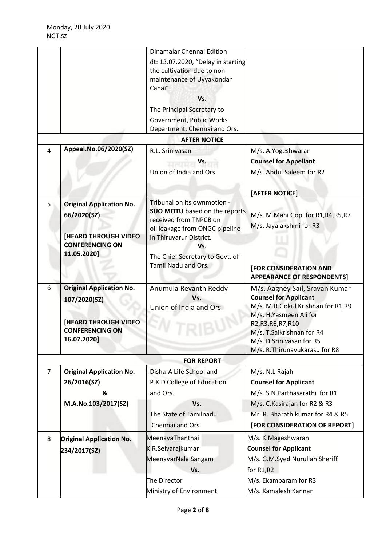|                |                                 | Dinamalar Chennai Edition                                 |                                                  |
|----------------|---------------------------------|-----------------------------------------------------------|--------------------------------------------------|
|                |                                 | dt: 13.07.2020, "Delay in starting                        |                                                  |
|                |                                 | the cultivation due to non-                               |                                                  |
|                |                                 | maintenance of Uyyakondan                                 |                                                  |
|                |                                 | Canai".                                                   |                                                  |
|                |                                 | Vs.                                                       |                                                  |
|                |                                 | The Principal Secretary to                                |                                                  |
|                |                                 | Government, Public Works                                  |                                                  |
|                |                                 | Department, Chennai and Ors.<br><b>AFTER NOTICE</b>       |                                                  |
| 4              | Appeal.No.06/2020(SZ)           | R.L. Srinivasan                                           |                                                  |
|                |                                 |                                                           | M/s. A.Yogeshwaran                               |
|                |                                 | Vs.                                                       | <b>Counsel for Appellant</b>                     |
|                |                                 | Union of India and Ors.                                   | M/s. Abdul Saleem for R2                         |
|                |                                 |                                                           | [AFTER NOTICE]                                   |
| 5              | <b>Original Application No.</b> | Tribunal on its ownmotion -                               |                                                  |
|                | 66/2020(SZ)                     | <b>SUO MOTU</b> based on the reports                      | M/s. M.Mani Gopi for R1,R4,R5,R7                 |
|                |                                 | received from TNPCB on                                    | M/s. Jayalakshmi for R3                          |
|                | <b>[HEARD THROUGH VIDEO</b>     | oil leakage from ONGC pipeline<br>in Thiruvarur District. |                                                  |
|                | <b>CONFERENCING ON</b>          | Vs.                                                       |                                                  |
|                | 11.05.2020]                     | The Chief Secretary to Govt. of                           |                                                  |
|                |                                 | Tamil Nadu and Ors.                                       | [FOR CONSIDERATION AND                           |
|                |                                 |                                                           | <b>APPEARANCE OF RESPONDENTS]</b>                |
| 6              | <b>Original Application No.</b> | Anumula Revanth Reddy                                     | M/s. Aagney Sail, Sravan Kumar                   |
|                | 107/2020(SZ)                    | Vs.                                                       | <b>Counsel for Applicant</b>                     |
|                |                                 | Union of India and Ors.                                   | M/s. M.R.Gokul Krishnan for R1,R9                |
|                | <b>[HEARD THROUGH VIDEO</b>     |                                                           | M/s. H.Yasmeen Ali for                           |
|                | <b>CONFERENCING ON</b>          |                                                           | R2, R3, R6, R7, R10<br>M/s. T.Saikrishnan for R4 |
|                | 16.07.2020]                     |                                                           | M/s. D.Srinivasan for R5                         |
|                |                                 |                                                           | M/s. R. Thirunavukarasu for R8                   |
|                |                                 | <b>FOR REPORT</b>                                         |                                                  |
| $\overline{7}$ | <b>Original Application No.</b> | Disha-A Life School and                                   | M/s. N.L.Rajah                                   |
|                | 26/2016(SZ)                     | P.K.D College of Education                                | <b>Counsel for Applicant</b>                     |
|                | &                               | and Ors.                                                  | M/s. S.N.Parthasarathi for R1                    |
|                | M.A.No.103/2017(SZ)             | Vs.                                                       | M/s. C. Kasirajan for R2 & R3                    |
|                |                                 | The State of Tamilnadu                                    | Mr. R. Bharath kumar for R4 & R5                 |
|                |                                 | Chennai and Ors.                                          | [FOR CONSIDERATION OF REPORT]                    |
| 8              | <b>Original Application No.</b> | MeenavaThanthai                                           | M/s. K.Mageshwaran                               |
|                | 234/2017(SZ)                    | K.R.Selvarajkumar                                         | <b>Counsel for Applicant</b>                     |
|                |                                 | MeenavarNala Sangam                                       | M/s. G.M.Syed Nurullah Sheriff                   |
|                |                                 | Vs.                                                       | for R1,R2                                        |
|                |                                 | The Director                                              | M/s. Ekambaram for R3                            |
|                |                                 | Ministry of Environment,                                  | M/s. Kamalesh Kannan                             |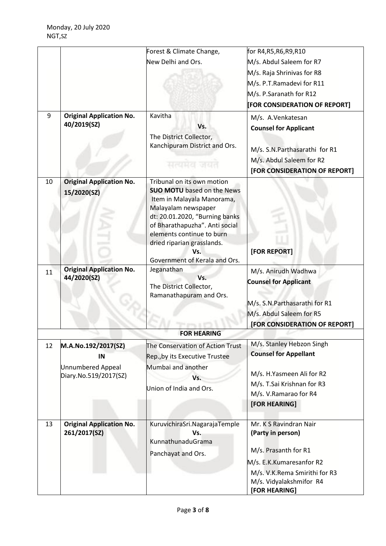| [FOR CONSIDERATION OF REPORT]                                  |
|----------------------------------------------------------------|
|                                                                |
|                                                                |
|                                                                |
|                                                                |
|                                                                |
|                                                                |
|                                                                |
|                                                                |
|                                                                |
|                                                                |
| [FOR CONSIDERATION OF REPORT]                                  |
|                                                                |
|                                                                |
|                                                                |
|                                                                |
|                                                                |
|                                                                |
|                                                                |
|                                                                |
|                                                                |
|                                                                |
|                                                                |
|                                                                |
|                                                                |
| [FOR CONSIDERATION OF REPORT]                                  |
|                                                                |
|                                                                |
|                                                                |
|                                                                |
|                                                                |
|                                                                |
|                                                                |
|                                                                |
|                                                                |
|                                                                |
|                                                                |
|                                                                |
|                                                                |
|                                                                |
|                                                                |
| M/s. S.N.Parthasarathi for R1<br>M/s. V.K.Rema Smirithi for R3 |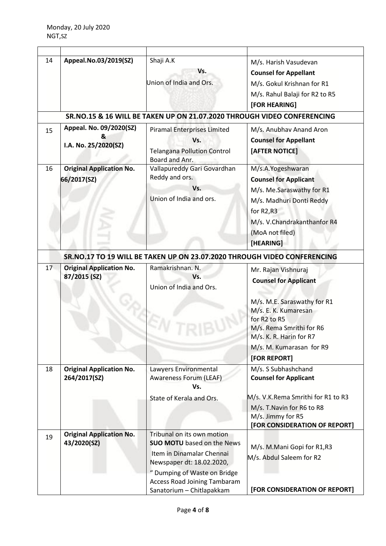| 14 | Appeal.No.03/2019(SZ)                                | Shaji A.K<br>Vs.<br>Union of India and Ors.                                                                                                                                                                                   | M/s. Harish Vasudevan<br><b>Counsel for Appellant</b><br>M/s. Gokul Krishnan for R1<br>M/s. Rahul Balaji for R2 to R5<br>[FOR HEARING]                                                                        |
|----|------------------------------------------------------|-------------------------------------------------------------------------------------------------------------------------------------------------------------------------------------------------------------------------------|---------------------------------------------------------------------------------------------------------------------------------------------------------------------------------------------------------------|
|    |                                                      | SR.NO.15 & 16 WILL BE TAKEN UP ON 21.07.2020 THROUGH VIDEO CONFERENCING                                                                                                                                                       |                                                                                                                                                                                                               |
| 15 | Appeal. No. 09/2020(SZ)<br>&<br>I.A. No. 25/2020(SZ) | <b>Piramal Enterprises Limited</b><br>Vs.<br><b>Telangana Pollution Control</b><br>Board and Anr.                                                                                                                             | M/s. Anubhav Anand Aron<br><b>Counsel for Appellant</b><br>[AFTER NOTICE]                                                                                                                                     |
| 16 | <b>Original Application No.</b><br>66/2017(SZ)       | Vallapureddy Gari Govardhan<br>Reddy and ors.<br>Vs.<br>Union of India and ors.                                                                                                                                               | M/s.A.Yogeshwaran<br><b>Counsel for Applicant</b><br>M/s. Me.Saraswathy for R1<br>M/s. Madhuri Donti Reddy<br>for R2,R3<br>M/s. V.Chandrakanthanfor R4<br>(MoA not filed)<br>[HEARING]                        |
|    |                                                      | SR.NO.17 TO 19 WILL BE TAKEN UP ON 23.07.2020 THROUGH VIDEO CONFERENCING                                                                                                                                                      |                                                                                                                                                                                                               |
| 17 | <b>Original Application No.</b><br>87/2015 (SZ)      | Ramakrishnan. N.<br>Vs.<br>Union of India and Ors.                                                                                                                                                                            | Mr. Rajan Vishnuraj<br><b>Counsel for Applicant</b><br>M/s. M.E. Saraswathy for R1<br>M/s. E. K. Kumaresan<br>for R2 to R5<br>M/s. Rema Smrithi for R6<br>M/s. K. R. Harin for R7<br>M/s. M. Kumarasan for R9 |
| 18 | <b>Original Application No.</b><br>264/2017(SZ)      | Lawyers Environmental<br>Awareness Forum (LEAF)<br>Vs.<br>State of Kerala and Ors.                                                                                                                                            | [FOR REPORT]<br>M/s. S Subhashchand<br><b>Counsel for Applicant</b><br>M/s. V.K.Rema Smrithi for R1 to R3<br>M/s. T. Navin for R6 to R8<br>M/s. Jimmy for R5<br>[FOR CONSIDERATION OF REPORT]                 |
| 19 | <b>Original Application No.</b><br>43/2020(SZ)       | Tribunal on its own motion<br><b>SUO MOTU</b> based on the News<br>Item in Dinamalar Chennai<br>Newspaper dt: 18.02.2020,<br>" Dumping of Waste on Bridge<br><b>Access Road Joining Tambaram</b><br>Sanatorium - Chitlapakkam | M/s. M.Mani Gopi for R1,R3<br>M/s. Abdul Saleem for R2<br>[FOR CONSIDERATION OF REPORT]                                                                                                                       |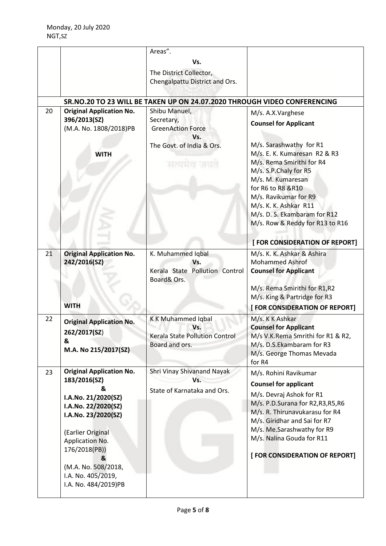|    |                                            | Areas".                                                                  |                                   |
|----|--------------------------------------------|--------------------------------------------------------------------------|-----------------------------------|
|    |                                            | Vs.                                                                      |                                   |
|    |                                            |                                                                          |                                   |
|    |                                            | The District Collector,                                                  |                                   |
|    |                                            | Chengalpattu District and Ors.                                           |                                   |
|    |                                            |                                                                          |                                   |
|    |                                            | SR.NO.20 TO 23 WILL BE TAKEN UP ON 24.07.2020 THROUGH VIDEO CONFERENCING |                                   |
| 20 | <b>Original Application No.</b>            | Shibu Manuel,                                                            | M/s. A.X.Varghese                 |
|    | 396/2013(SZ)                               | Secretary,                                                               | <b>Counsel for Applicant</b>      |
|    | (M.A. No. 1808/2018)PB                     | <b>GreenAction Force</b>                                                 |                                   |
|    |                                            | Vs.                                                                      |                                   |
|    |                                            | The Govt. of India & Ors.                                                | M/s. Sarashwathy for R1           |
|    | <b>WITH</b>                                |                                                                          | M/s. E. K. Kumaresan R2 & R3      |
|    |                                            | सत्यमव                                                                   | M/s. Rema Smirithi for R4         |
|    |                                            |                                                                          | M/s. S.P.Chaly for R5             |
|    |                                            |                                                                          | M/s. M. Kumaresan                 |
|    |                                            |                                                                          | for R6 to R8 &R10                 |
|    |                                            |                                                                          | M/s. Ravikumar for R9             |
|    |                                            |                                                                          | M/s. K. K. Ashkar R11             |
|    |                                            |                                                                          | M/s. D. S. Ekambaram for R12      |
|    |                                            |                                                                          | M/s. Row & Reddy for R13 to R16   |
|    |                                            |                                                                          |                                   |
|    |                                            |                                                                          | [ FOR CONSIDERATION OF REPORT]    |
| 21 | <b>Original Application No.</b>            | K. Muhammed Iqbal                                                        | M/s. K. K. Ashkar & Ashira        |
|    | 242/2016(SZ)                               | Vs.                                                                      | <b>Mohammed Ashrof</b>            |
|    |                                            | Kerala State Pollution Control                                           | <b>Counsel for Applicant</b>      |
|    |                                            | Board& Ors.                                                              |                                   |
|    |                                            |                                                                          | M/s. Rema Smirithi for R1,R2      |
|    |                                            |                                                                          | M/s. King & Partridge for R3      |
|    | <b>WITH</b>                                |                                                                          | [FOR CONSIDERATION OF REPORT]     |
| 22 | <b>Original Application No.</b>            | <b>KK Muhammed Iqbal</b>                                                 | M/s. K K Ashkar                   |
|    |                                            | Vs.                                                                      | <b>Counsel for Applicant</b>      |
|    | 262/2017(SZ)<br>&                          | Kerala State Pollution Control                                           | M/s V.K.Rema Smrithi for R1 & R2, |
|    | M.A. No 215/2017(SZ)                       | Board and ors.                                                           | M/s. D.S.Ekambaram for R3         |
|    |                                            |                                                                          | M/s. George Thomas Mevada         |
|    |                                            |                                                                          | for R4                            |
| 23 | <b>Original Application No.</b>            | Shri Vinay Shivanand Nayak                                               | M/s. Rohini Ravikumar             |
|    | 183/2016(SZ)                               | Vs.                                                                      | <b>Counsel for applicant</b>      |
|    | 8.                                         | State of Karnataka and Ors.                                              | M/s. Devraj Ashok for R1          |
|    | I.A.No. 21/2020(SZ)                        |                                                                          | M/s. P.D.Surana for R2,R3,R5,R6   |
|    | I.A.No. 22/2020(SZ)                        |                                                                          | M/s. R. Thirunavukarasu for R4    |
|    | I.A.No. 23/2020(SZ)                        |                                                                          | M/s. Giridhar and Sai for R7      |
|    |                                            |                                                                          | M/s. Me.Sarashwathy for R9        |
|    | (Earlier Original                          |                                                                          | M/s. Nalina Gouda for R11         |
|    | Application No.                            |                                                                          |                                   |
|    | 176/2018(PB))                              |                                                                          | [FOR CONSIDERATION OF REPORT]     |
|    |                                            |                                                                          |                                   |
|    | &                                          |                                                                          |                                   |
|    | (M.A. No. 508/2018,                        |                                                                          |                                   |
|    | I.A. No. 405/2019,<br>I.A. No. 484/2019)PB |                                                                          |                                   |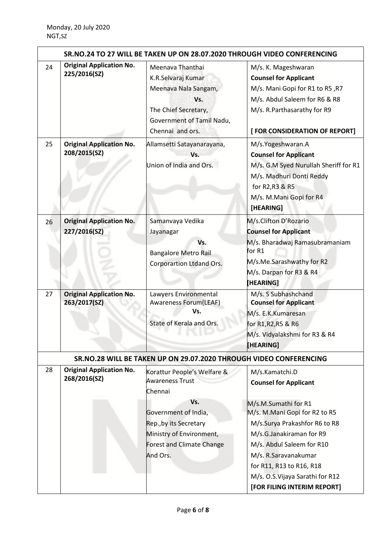|    |                                                 |                                                                                                                                                | SR.NO.24 TO 27 WILL BE TAKEN UP ON 28.07.2020 THROUGH VIDEO CONFERENCING                                                                                                                                                                       |
|----|-------------------------------------------------|------------------------------------------------------------------------------------------------------------------------------------------------|------------------------------------------------------------------------------------------------------------------------------------------------------------------------------------------------------------------------------------------------|
| 24 | <b>Original Application No.</b><br>225/2016(SZ) | Meenava Thanthai<br>K.R.Selvaraj Kumar<br>Meenava Nala Sangam,<br>Vs.<br>The Chief Secretary,<br>Government of Tamil Nadu,<br>Chennai and ors. | M/s. K. Mageshwaran<br><b>Counsel for Applicant</b><br>N/s. Mani Gopi for R1 to R5, R7<br>M/s. Abdul Saleem for R6 & R8<br>M/s. R.Parthasarathy for R9<br>[FOR CONSIDERATION OF REPORT]                                                        |
| 25 | <b>Original Application No.</b><br>208/2015(SZ) | Allamsetti Satayanarayana,<br>Vs.<br>Union of India and Ors.                                                                                   | M/s.Yogeshwaran.A<br><b>Counsel for Applicant</b><br>M/s. G.M Syed Nurullah Sheriff for R1<br>M/s. Madhuri Donti Reddy<br>for R2, R3 & R5<br>M/s. M.Mani Gopi for R4<br>[HEARING]                                                              |
| 26 | <b>Original Application No.</b><br>227/2016(SZ) | Samanvaya Vedika<br>Jayanagar<br>Vs.<br><b>Bangalore Metro Rail</b><br><b>Corporartion Ltdand Ors.</b>                                         | M/s.Clifton D'Rozario<br><b>Counsel for Applicant</b><br>M/s. Bharadwaj Ramasubramaniam<br>for R1<br>M/s.Me.Sarashwathy for R2<br>M/s. Darpan for R3 & R4<br>[HEARING]                                                                         |
| 27 | <b>Original Application No.</b><br>263/2017(SZ) | Lawyers Environmental<br>Awareness Forum(LEAF)<br>Vs.<br>State of Kerala and Ors.                                                              | M/s. S Subhashchand<br><b>Counsel for Applicant</b><br>M/s. E.K.Kumaresan<br>for R1, R2, R5 & R6<br>M/s. Vidyalakshmi for R3 & R4<br><b>HEARING</b>                                                                                            |
|    |                                                 | SR.NO.28 WILL BE TAKEN UP ON 29.07.2020 THROUGH VIDEO CONFERENCING                                                                             |                                                                                                                                                                                                                                                |
| 28 | <b>Original Application No.</b><br>268/2016(SZ) | Korattur People's Welfare &<br><b>Awareness Trust</b><br>Chennai<br>Vs.                                                                        | M/s.Kamatchi.D<br><b>Counsel for Applicant</b><br>M/s.M.Sumathi for R1                                                                                                                                                                         |
|    |                                                 | Government of India,<br>Rep., by its Secretary<br>Ministry of Environment,<br>Forest and Climate Change<br>And Ors.                            | M/s. M.Mani Gopi for R2 to R5<br>M/s.Surya Prakashfor R6 to R8<br>M/s.G.Janakiraman for R9<br>M/s. Abdul Saleem for R10<br>M/s. R.Saravanakumar<br>for R11, R13 to R16, R18<br>M/s. O.S. Vijaya Sarathi for R12<br>[FOR FILING INTERIM REPORT] |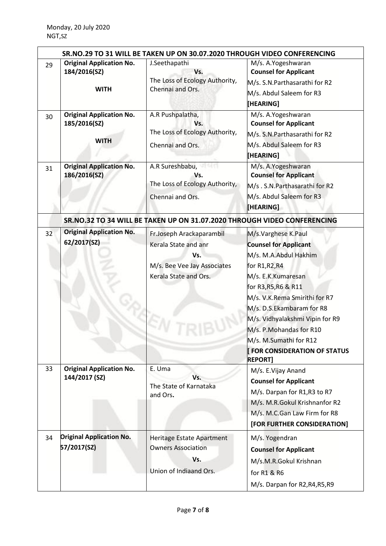| 29 | <b>Original Application No.</b><br>184/2016(SZ)                | SR.NO.29 TO 31 WILL BE TAKEN UP ON 30.07.2020 THROUGH VIDEO CONFERENCING<br>J.Seethapathi<br>Vs.<br>The Loss of Ecology Authority, | M/s. A.Yogeshwaran<br><b>Counsel for Applicant</b><br>M/s. S.N.Parthasarathi for R2                                                                                                                                                                                                                                                                      |
|----|----------------------------------------------------------------|------------------------------------------------------------------------------------------------------------------------------------|----------------------------------------------------------------------------------------------------------------------------------------------------------------------------------------------------------------------------------------------------------------------------------------------------------------------------------------------------------|
|    | <b>WITH</b>                                                    | Chennai and Ors.                                                                                                                   | M/s. Abdul Saleem for R3<br>[HEARING]                                                                                                                                                                                                                                                                                                                    |
| 30 | <b>Original Application No.</b><br>185/2016(SZ)<br><b>WITH</b> | A.R Pushpalatha,<br>Vs.<br>The Loss of Ecology Authority,<br>Chennai and Ors.                                                      | M/s. A.Yogeshwaran<br><b>Counsel for Applicant</b><br>M/s. S.N.Parthasarathi for R2<br>M/s. Abdul Saleem for R3<br>[HEARING]                                                                                                                                                                                                                             |
| 31 | <b>Original Application No.</b><br>186/2016(SZ)                | A.R Sureshbabu,<br>Vs.<br>The Loss of Ecology Authority,<br>Chennai and Ors.                                                       | M/s. A.Yogeshwaran<br><b>Counsel for Applicant</b><br>M/s. S.N. Parthasarathi for R2<br>M/s. Abdul Saleem for R3<br>[HEARING]                                                                                                                                                                                                                            |
|    |                                                                | SR.NO.32 TO 34 WILL BE TAKEN UP ON 31.07.2020 THROUGH VIDEO CONFERENCING                                                           |                                                                                                                                                                                                                                                                                                                                                          |
| 32 | <b>Original Application No.</b><br>62/2017(SZ)                 | Fr.Joseph Arackaparambil<br>Kerala State and anr<br>Vs.<br>M/s. Bee Vee Jay Associates<br>Kerala State and Ors.                    | M/s.Varghese K.Paul<br><b>Counsel for Applicant</b><br>M/s. M.A.Abdul Hakhim<br>for R1,R2,R4<br>M/s. E.K.Kumaresan<br>for R3, R5, R6 & R11<br>M/s. V.K.Rema Smirithi for R7<br>M/s. D.S.Ekambaram for R8<br>M/s. Vidhyalakshmi Vipin for R9<br>M/s. P.Mohandas for R10<br>M/s. M.Sumathi for R12<br><b>FOR CONSIDERATION OF STATUS</b><br><b>REPORT]</b> |
| 33 | <b>Original Application No.</b><br>144/2017 (SZ)               | E. Uma<br>Vs.<br>The State of Karnataka<br>and Ors.                                                                                | M/s. E.Vijay Anand<br><b>Counsel for Applicant</b><br>M/s. Darpan for R1, R3 to R7<br>M/s. M.R.Gokul Krishnanfor R2<br>M/s. M.C.Gan Law Firm for R8<br>[FOR FURTHER CONSIDERATION]                                                                                                                                                                       |
| 34 | <b>Original Application No.</b><br>57/2017(SZ)                 | Heritage Estate Apartment<br><b>Owners Association</b><br>Vs.<br>Union of Indiaand Ors.                                            | M/s. Yogendran<br><b>Counsel for Applicant</b><br>M/s.M.R.Gokul Krishnan<br>for R1 & R6<br>M/s. Darpan for R2, R4, R5, R9                                                                                                                                                                                                                                |